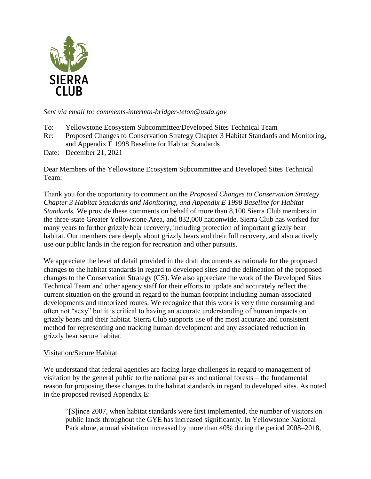

*Sent via email to: comments-intermtn-bridger-teton@usda.gov*

- To: Yellowstone Ecosystem Subcommittee/Developed Sites Technical Team
- Re: Proposed Changes to Conservation Strategy Chapter 3 Habitat Standards and Monitoring, and Appendix E 1998 Baseline for Habitat Standards
- Date: December 21, 2021

Dear Members of the Yellowstone Ecosystem Subcommittee and Developed Sites Technical Team:

Thank you for the opportunity to comment on the *Proposed Changes to Conservation Strategy Chapter 3 Habitat Standards and Monitoring, and Appendix E 1998 Baseline for Habitat Standards.* We provide these comments on behalf of more than 8,100 Sierra Club members in the three-state Greater Yellowstone Area, and 832,000 nationwide. Sierra Club has worked for many years to further grizzly bear recovery, including protection of important grizzly bear habitat. Our members care deeply about grizzly bears and their full recovery, and also actively use our public lands in the region for recreation and other pursuits.

We appreciate the level of detail provided in the draft documents as rationale for the proposed changes to the habitat standards in regard to developed sites and the delineation of the proposed changes to the Conservation Strategy (CS). We also appreciate the work of the Developed Sites Technical Team and other agency staff for their efforts to update and accurately reflect the current situation on the ground in regard to the human footprint including human-associated developments and motorized routes. We recognize that this work is very time consuming and often not "sexy" but it is critical to having an accurate understanding of human impacts on grizzly bears and their habitat. Sierra Club supports use of the most accurate and consistent method for representing and tracking human development and any associated reduction in grizzly bear secure habitat.

## Visitation/Secure Habitat

We understand that federal agencies are facing large challenges in regard to management of visitation by the general public to the national parks and national forests – the fundamental reason for proposing these changes to the habitat standards in regard to developed sites. As noted in the proposed revised Appendix E:

"[S]ince 2007, when habitat standards were first implemented, the number of visitors on public lands throughout the GYE has increased significantly. In Yellowstone National Park alone, annual visitation increased by more than 40% during the period 2008–2018,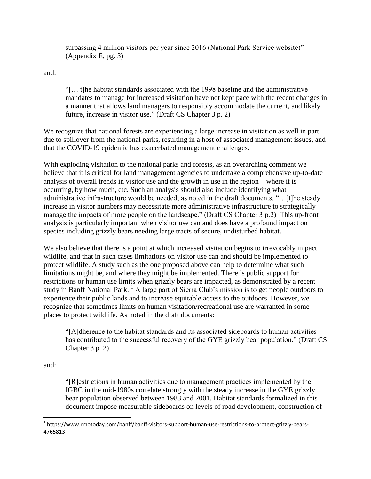surpassing 4 million visitors per year since 2016 (National Park Service website)" (Appendix E, pg. 3)

and:

"[… t]he habitat standards associated with the 1998 baseline and the administrative mandates to manage for increased visitation have not kept pace with the recent changes in a manner that allows land managers to responsibly accommodate the current, and likely future, increase in visitor use." (Draft CS Chapter 3 p. 2)

We recognize that national forests are experiencing a large increase in visitation as well in part due to spillover from the national parks, resulting in a host of associated management issues, and that the COVID-19 epidemic has exacerbated management challenges.

With exploding visitation to the national parks and forests, as an overarching comment we believe that it is critical for land management agencies to undertake a comprehensive up-to-date analysis of overall trends in visitor use and the growth in use in the region – where it is occurring, by how much, etc. Such an analysis should also include identifying what administrative infrastructure would be needed; as noted in the draft documents, "…[t]he steady increase in visitor numbers may necessitate more administrative infrastructure to strategically manage the impacts of more people on the landscape." (Draft CS Chapter 3 p.2) This up-front analysis is particularly important when visitor use can and does have a profound impact on species including grizzly bears needing large tracts of secure, undisturbed habitat.

We also believe that there is a point at which increased visitation begins to irrevocably impact wildlife, and that in such cases limitations on visitor use can and should be implemented to protect wildlife. A study such as the one proposed above can help to determine what such limitations might be, and where they might be implemented. There is public support for restrictions or human use limits when grizzly bears are impacted, as demonstrated by a recent study in Banff National Park. <sup>1</sup> A large part of Sierra Club's mission is to get people outdoors to experience their public lands and to increase equitable access to the outdoors. However, we recognize that sometimes limits on human visitation/recreational use are warranted in some places to protect wildlife. As noted in the draft documents:

"[A]dherence to the habitat standards and its associated sideboards to human activities has contributed to the successful recovery of the GYE grizzly bear population." (Draft CS Chapter 3 p. 2)

and:

"[R]estrictions in human activities due to management practices implemented by the IGBC in the mid-1980s correlate strongly with the steady increase in the GYE grizzly bear population observed between 1983 and 2001. Habitat standards formalized in this document impose measurable sideboards on levels of road development, construction of

l <sup>1</sup> https://www.rmotoday.com/banff/banff-visitors-support-human-use-restrictions-to-protect-grizzly-bears-4765813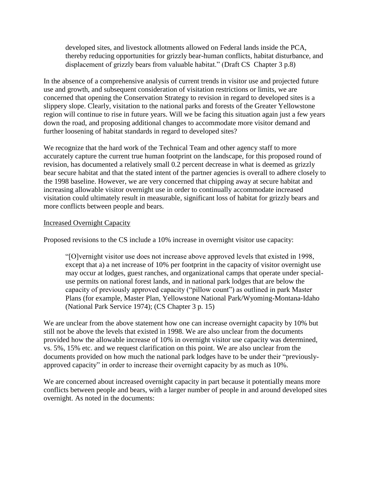developed sites, and livestock allotments allowed on Federal lands inside the PCA, thereby reducing opportunities for grizzly bear-human conflicts, habitat disturbance, and displacement of grizzly bears from valuable habitat." (Draft CS Chapter 3 p.8)

In the absence of a comprehensive analysis of current trends in visitor use and projected future use and growth, and subsequent consideration of visitation restrictions or limits, we are concerned that opening the Conservation Strategy to revision in regard to developed sites is a slippery slope. Clearly, visitation to the national parks and forests of the Greater Yellowstone region will continue to rise in future years. Will we be facing this situation again just a few years down the road, and proposing additional changes to accommodate more visitor demand and further loosening of habitat standards in regard to developed sites?

We recognize that the hard work of the Technical Team and other agency staff to more accurately capture the current true human footprint on the landscape, for this proposed round of revision, has documented a relatively small 0.2 percent decrease in what is deemed as grizzly bear secure habitat and that the stated intent of the partner agencies is overall to adhere closely to the 1998 baseline. However, we are very concerned that chipping away at secure habitat and increasing allowable visitor overnight use in order to continually accommodate increased visitation could ultimately result in measurable, significant loss of habitat for grizzly bears and more conflicts between people and bears.

## Increased Overnight Capacity

Proposed revisions to the CS include a 10% increase in overnight visitor use capacity:

"[O]vernight visitor use does not increase above approved levels that existed in 1998, except that a) a net increase of 10% per footprint in the capacity of visitor overnight use may occur at lodges, guest ranches, and organizational camps that operate under specialuse permits on national forest lands, and in national park lodges that are below the capacity of previously approved capacity ("pillow count") as outlined in park Master Plans (for example, Master Plan, Yellowstone National Park/Wyoming-Montana-Idaho (National Park Service 1974); (CS Chapter 3 p. 15)

We are unclear from the above statement how one can increase overnight capacity by 10% but still not be above the levels that existed in 1998. We are also unclear from the documents provided how the allowable increase of 10% in overnight visitor use capacity was determined, vs. 5%, 15% etc. and we request clarification on this point. We are also unclear from the documents provided on how much the national park lodges have to be under their "previouslyapproved capacity" in order to increase their overnight capacity by as much as 10%.

We are concerned about increased overnight capacity in part because it potentially means more conflicts between people and bears, with a larger number of people in and around developed sites overnight. As noted in the documents: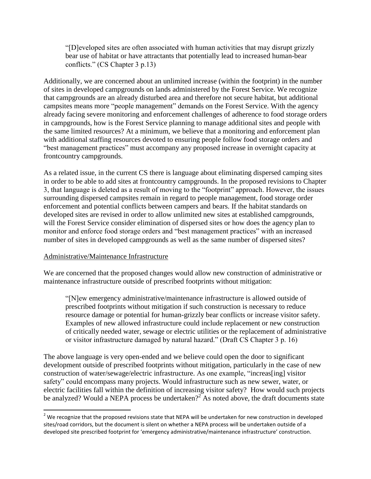"[D]eveloped sites are often associated with human activities that may disrupt grizzly bear use of habitat or have attractants that potentially lead to increased human-bear conflicts." (CS Chapter 3 p.13)

Additionally, we are concerned about an unlimited increase (within the footprint) in the number of sites in developed campgrounds on lands administered by the Forest Service. We recognize that campgrounds are an already disturbed area and therefore not secure habitat, but additional campsites means more "people management" demands on the Forest Service. With the agency already facing severe monitoring and enforcement challenges of adherence to food storage orders in campgrounds, how is the Forest Service planning to manage additional sites and people with the same limited resources? At a minimum, we believe that a monitoring and enforcement plan with additional staffing resources devoted to ensuring people follow food storage orders and "best management practices" must accompany any proposed increase in overnight capacity at frontcountry campgrounds.

As a related issue, in the current CS there is language about eliminating dispersed camping sites in order to be able to add sites at frontcountry campgrounds. In the proposed revisions to Chapter 3, that language is deleted as a result of moving to the "footprint" approach. However, the issues surrounding dispersed campsites remain in regard to people management, food storage order enforcement and potential conflicts between campers and bears. If the habitat standards on developed sites are revised in order to allow unlimited new sites at established campgrounds, will the Forest Service consider elimination of dispersed sites or how does the agency plan to monitor and enforce food storage orders and "best management practices" with an increased number of sites in developed campgrounds as well as the same number of dispersed sites?

## Administrative/Maintenance Infrastructure

We are concerned that the proposed changes would allow new construction of administrative or maintenance infrastructure outside of prescribed footprints without mitigation:

"[N]ew emergency administrative/maintenance infrastructure is allowed outside of prescribed footprints without mitigation if such construction is necessary to reduce resource damage or potential for human-grizzly bear conflicts or increase visitor safety. Examples of new allowed infrastructure could include replacement or new construction of critically needed water, sewage or electric utilities or the replacement of administrative or visitor infrastructure damaged by natural hazard." (Draft CS Chapter 3 p. 16)

The above language is very open-ended and we believe could open the door to significant development outside of prescribed footprints without mitigation, particularly in the case of new construction of water/sewage/electric infrastructure. As one example, "increas[ing] visitor safety" could encompass many projects. Would infrastructure such as new sewer, water, or electric facilities fall within the definition of increasing visitor safety? How would such projects be analyzed? Would a NEPA process be undertaken?<sup>2</sup> As noted above, the draft documents state

 $\overline{\phantom{a}}$  $^2$  We recognize that the proposed revisions state that NEPA will be undertaken for new construction in developed sites/road corridors, but the document is silent on whether a NEPA process will be undertaken outside of a developed site prescribed footprint for 'emergency administrative/maintenance infrastructure' construction.